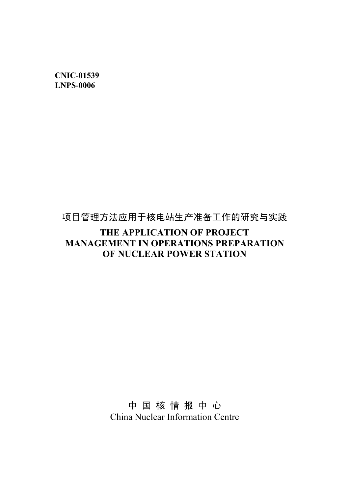**CNIC-01539 LNPS-0006**

# 项目管理方法应用于核电站生产准备工作的研究与实践

# **THE APPLICATION OF PROJECT MANAGEMENT IN OPERATIONS PREPARATION OF NUCLEAR POWER STATION**

中 国 核 情 报 中 心 China Nuclear Information Centre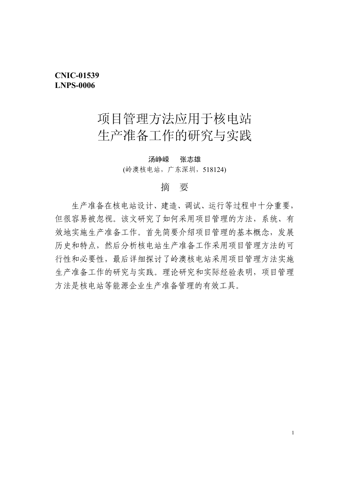# **CNIC-01539 LNPS-0006**

# 项目管理方法应用于核电站 生产准备工作的研究与实践

#### 汤峥嵘 张志雄

(岭澳核电站,广东深圳,518124)

### 摘 要

 生产准备在核电站设计、建造、调试、运行等过程中十分重要, 但很容易被忽视。该文研究了如何采用项目管理的方法,系统、有 效地实施生产准备工作。首先简要介绍项目管理的基本概念,发展 历史和特点,然后分析核电站生产准备工作采用项目管理方法的可 行性和必要性,最后详细探讨了岭澳核电站采用项目管理方法实施 生产准备工作的研究与实践。理论研究和实际经验表明,项目管理 方法是核电站等能源企业生产准备管理的有效工具。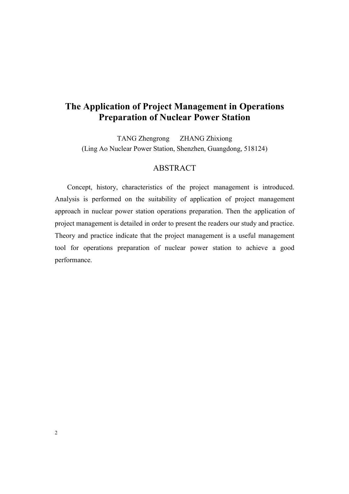# **The Application of Project Management in Operations Preparation of Nuclear Power Station**

TANG Zhengrong ZHANG Zhixiong (Ling Ao Nuclear Power Station, Shenzhen, Guangdong, 518124)

## ABSTRACT

Concept, history, characteristics of the project management is introduced. Analysis is performed on the suitability of application of project management approach in nuclear power station operations preparation. Then the application of project management is detailed in order to present the readers our study and practice. Theory and practice indicate that the project management is a useful management tool for operations preparation of nuclear power station to achieve a good performance.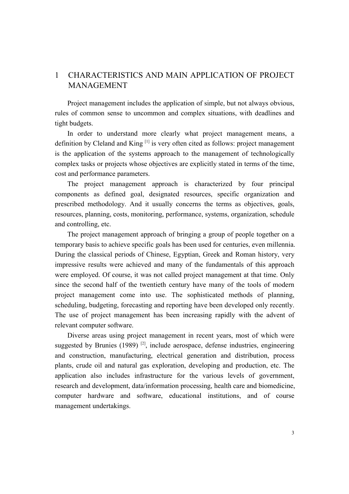# 1 CHARACTERISTICS AND MAIN APPLICATION OF PROJECT MANAGEMENT

Project management includes the application of simple, but not always obvious, rules of common sense to uncommon and complex situations, with deadlines and tight budgets.

In order to understand more clearly what project management means, a definition by Cleland and King [1] is very often cited as follows: project management is the application of the systems approach to the management of technologically complex tasks or projects whose objectives are explicitly stated in terms of the time, cost and performance parameters.

The project management approach is characterized by four principal components as defined goal, designated resources, specific organization and prescribed methodology. And it usually concerns the terms as objectives, goals, resources, planning, costs, monitoring, performance, systems, organization, schedule and controlling, etc.

The project management approach of bringing a group of people together on a temporary basis to achieve specific goals has been used for centuries, even millennia. During the classical periods of Chinese, Egyptian, Greek and Roman history, very impressive results were achieved and many of the fundamentals of this approach were employed. Of course, it was not called project management at that time. Only since the second half of the twentieth century have many of the tools of modern project management come into use. The sophisticated methods of planning, scheduling, budgeting, forecasting and reporting have been developed only recently. The use of project management has been increasing rapidly with the advent of relevant computer software.

Diverse areas using project management in recent years, most of which were suggested by Brunies  $(1989)$ <sup>[2]</sup>, include aerospace, defense industries, engineering and construction, manufacturing, electrical generation and distribution, process plants, crude oil and natural gas exploration, developing and production, etc. The application also includes infrastructure for the various levels of government, research and development, data/information processing, health care and biomedicine, computer hardware and software, educational institutions, and of course management undertakings.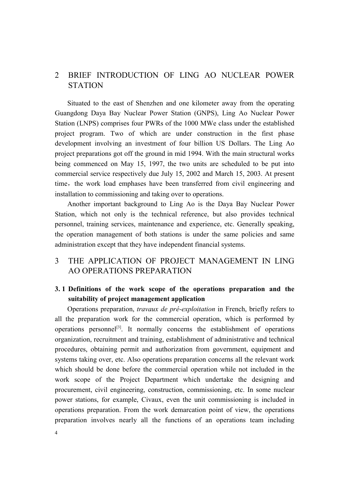# 2 BRIEF INTRODUCTION OF LING AO NUCLEAR POWER **STATION**

Situated to the east of Shenzhen and one kilometer away from the operating Guangdong Daya Bay Nuclear Power Station (GNPS), Ling Ao Nuclear Power Station (LNPS) comprises four PWRs of the 1000 MWe class under the established project program. Two of which are under construction in the first phase development involving an investment of four billion US Dollars. The Ling Ao project preparations got off the ground in mid 1994. With the main structural works being commenced on May 15, 1997, the two units are scheduled to be put into commercial service respectively due July 15, 2002 and March 15, 2003. At present time, the work load emphases have been transferred from civil engineering and installation to commissioning and taking over to operations.

Another important background to Ling Ao is the Daya Bay Nuclear Power Station, which not only is the technical reference, but also provides technical personnel, training services, maintenance and experience, etc. Generally speaking, the operation management of both stations is under the same policies and same administration except that they have independent financial systems.

# 3 THE APPLICATION OF PROJECT MANAGEMENT IN LING AO OPERATIONS PREPARATION

## **3. 1 Definitions of the work scope of the operations preparation and the suitability of project management application**

Operations preparation, *travaux de pré-exploitation* in French, briefly refers to all the preparation work for the commercial operation, which is performed by operations personnel<sup>[3]</sup>. It normally concerns the establishment of operations organization, recruitment and training, establishment of administrative and technical procedures, obtaining permit and authorization from government, equipment and systems taking over, etc. Also operations preparation concerns all the relevant work which should be done before the commercial operation while not included in the work scope of the Project Department which undertake the designing and procurement, civil engineering, construction, commissioning, etc. In some nuclear power stations, for example, Civaux, even the unit commissioning is included in operations preparation. From the work demarcation point of view, the operations preparation involves nearly all the functions of an operations team including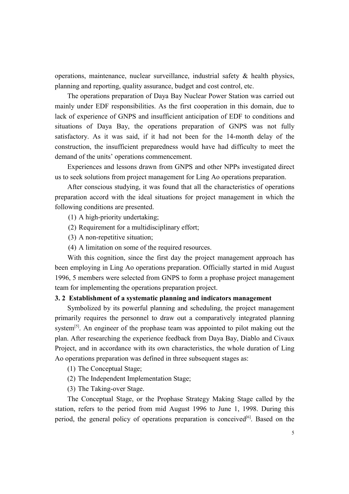operations, maintenance, nuclear surveillance, industrial safety & health physics, planning and reporting, quality assurance, budget and cost control, etc.

The operations preparation of Daya Bay Nuclear Power Station was carried out mainly under EDF responsibilities. As the first cooperation in this domain, due to lack of experience of GNPS and insufficient anticipation of EDF to conditions and situations of Daya Bay, the operations preparation of GNPS was not fully satisfactory. As it was said, if it had not been for the 14-month delay of the construction, the insufficient preparedness would have had difficulty to meet the demand of the units' operations commencement.

Experiences and lessons drawn from GNPS and other NPPs investigated direct us to seek solutions from project management for Ling Ao operations preparation.

After conscious studying, it was found that all the characteristics of operations preparation accord with the ideal situations for project management in which the following conditions are presented.

(1) A high-priority undertaking;

- (2) Requirement for a multidisciplinary effort;
- (3) A non-repetitive situation;
- (4) A limitation on some of the required resources.

With this cognition, since the first day the project management approach has been employing in Ling Ao operations preparation. Officially started in mid August 1996, 5 members were selected from GNPS to form a prophase project management team for implementing the operations preparation project.

#### **3. 2 Establishment of a systematic planning and indicators management**

Symbolized by its powerful planning and scheduling, the project management primarily requires the personnel to draw out a comparatively integrated planning system<sup>[5]</sup>. An engineer of the prophase team was appointed to pilot making out the plan. After researching the experience feedback from Daya Bay, Diablo and Civaux Project, and in accordance with its own characteristics, the whole duration of Ling Ao operations preparation was defined in three subsequent stages as:

(1) The Conceptual Stage;

- (2) The Independent Implementation Stage;
- (3) The Taking-over Stage.

The Conceptual Stage, or the Prophase Strategy Making Stage called by the station, refers to the period from mid August 1996 to June 1, 1998. During this period, the general policy of operations preparation is conceived<sup>[6]</sup>. Based on the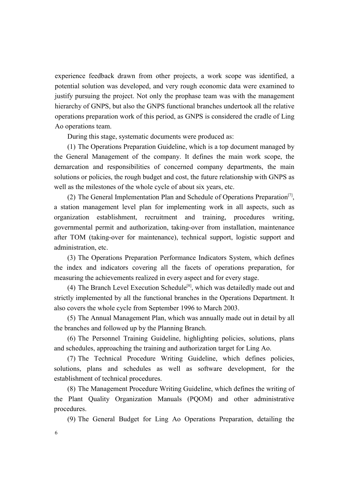experience feedback drawn from other projects, a work scope was identified, a potential solution was developed, and very rough economic data were examined to justify pursuing the project. Not only the prophase team was with the management hierarchy of GNPS, but also the GNPS functional branches undertook all the relative operations preparation work of this period, as GNPS is considered the cradle of Ling Ao operations team.

During this stage, systematic documents were produced as:

(1) The Operations Preparation Guideline, which is a top document managed by the General Management of the company. It defines the main work scope, the demarcation and responsibilities of concerned company departments, the main solutions or policies, the rough budget and cost, the future relationship with GNPS as well as the milestones of the whole cycle of about six years, etc.

(2) The General Implementation Plan and Schedule of Operations Preparation<sup>[7]</sup>, a station management level plan for implementing work in all aspects, such as organization establishment, recruitment and training, procedures writing, governmental permit and authorization, taking-over from installation, maintenance after TOM (taking-over for maintenance), technical support, logistic support and administration, etc.

(3) The Operations Preparation Performance Indicators System, which defines the index and indicators covering all the facets of operations preparation, for measuring the achievements realized in every aspect and for every stage.

(4) The Branch Level Execution Schedule<sup>[8]</sup>, which was detailedly made out and strictly implemented by all the functional branches in the Operations Department. It also covers the whole cycle from September 1996 to March 2003.

(5) The Annual Management Plan, which was annually made out in detail by all the branches and followed up by the Planning Branch.

(6) The Personnel Training Guideline, highlighting policies, solutions, plans and schedules, approaching the training and authorization target for Ling Ao.

(7) The Technical Procedure Writing Guideline, which defines policies, solutions, plans and schedules as well as software development, for the establishment of technical procedures.

(8) The Management Procedure Writing Guideline, which defines the writing of the Plant Quality Organization Manuals (PQOM) and other administrative procedures.

(9) The General Budget for Ling Ao Operations Preparation, detailing the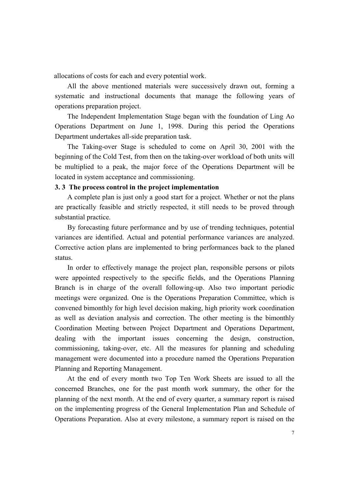allocations of costs for each and every potential work.

All the above mentioned materials were successively drawn out, forming a systematic and instructional documents that manage the following years of operations preparation project.

The Independent Implementation Stage began with the foundation of Ling Ao Operations Department on June 1, 1998. During this period the Operations Department undertakes all-side preparation task.

The Taking-over Stage is scheduled to come on April 30, 2001 with the beginning of the Cold Test, from then on the taking-over workload of both units will be multiplied to a peak, the major force of the Operations Department will be located in system acceptance and commissioning.

#### **3. 3 The process control in the project implementation**

A complete plan is just only a good start for a project. Whether or not the plans are practically feasible and strictly respected, it still needs to be proved through substantial practice.

By forecasting future performance and by use of trending techniques, potential variances are identified. Actual and potential performance variances are analyzed. Corrective action plans are implemented to bring performances back to the planed status.

In order to effectively manage the project plan, responsible persons or pilots were appointed respectively to the specific fields, and the Operations Planning Branch is in charge of the overall following-up. Also two important periodic meetings were organized. One is the Operations Preparation Committee, which is convened bimonthly for high level decision making, high priority work coordination as well as deviation analysis and correction. The other meeting is the bimonthly Coordination Meeting between Project Department and Operations Department, dealing with the important issues concerning the design, construction, commissioning, taking-over, etc. All the measures for planning and scheduling management were documented into a procedure named the Operations Preparation Planning and Reporting Management.

At the end of every month two Top Ten Work Sheets are issued to all the concerned Branches, one for the past month work summary, the other for the planning of the next month. At the end of every quarter, a summary report is raised on the implementing progress of the General Implementation Plan and Schedule of Operations Preparation. Also at every milestone, a summary report is raised on the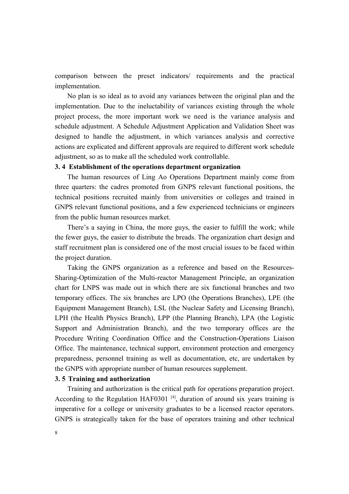comparison between the preset indicators/ requirements and the practical implementation.

No plan is so ideal as to avoid any variances between the original plan and the implementation. Due to the ineluctability of variances existing through the whole project process, the more important work we need is the variance analysis and schedule adjustment. A Schedule Adjustment Application and Validation Sheet was designed to handle the adjustment, in which variances analysis and corrective actions are explicated and different approvals are required to different work schedule adjustment, so as to make all the scheduled work controllable.

#### **3. 4 Establishment of the operations department organization**

The human resources of Ling Ao Operations Department mainly come from three quarters: the cadres promoted from GNPS relevant functional positions, the technical positions recruited mainly from universities or colleges and trained in GNPS relevant functional positions, and a few experienced technicians or engineers from the public human resources market.

There's a saying in China, the more guys, the easier to fulfill the work; while the fewer guys, the easier to distribute the breads. The organization chart design and staff recruitment plan is considered one of the most crucial issues to be faced within the project duration.

Taking the GNPS organization as a reference and based on the Resources-Sharing-Optimization of the Multi-reactor Management Principle, an organization chart for LNPS was made out in which there are six functional branches and two temporary offices. The six branches are LPO (the Operations Branches), LPE (the Equipment Management Branch), LSL (the Nuclear Safety and Licensing Branch), LPH (the Health Physics Branch), LPP (the Planning Branch), LPA (the Logistic Support and Administration Branch), and the two temporary offices are the Procedure Writing Coordination Office and the Construction-Operations Liaison Office. The maintenance, technical support, environment protection and emergency preparedness, personnel training as well as documentation, etc, are undertaken by the GNPS with appropriate number of human resources supplement.

#### **3. 5 Training and authorization**

Training and authorization is the critical path for operations preparation project. According to the Regulation HAF0301<sup>[4]</sup>, duration of around six years training is imperative for a college or university graduates to be a licensed reactor operators. GNPS is strategically taken for the base of operators training and other technical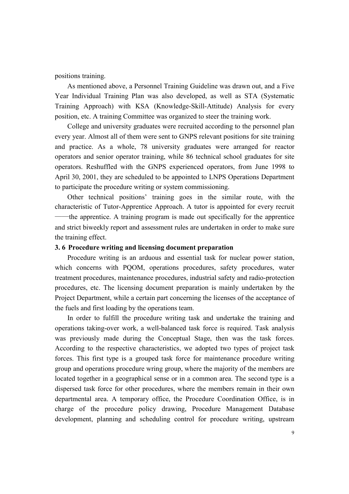positions training.

As mentioned above, a Personnel Training Guideline was drawn out, and a Five Year Individual Training Plan was also developed, as well as STA (Systematic Training Approach) with KSA (Knowledge-Skill-Attitude) Analysis for every position, etc. A training Committee was organized to steer the training work.

College and university graduates were recruited according to the personnel plan every year. Almost all of them were sent to GNPS relevant positions for site training and practice. As a whole, 78 university graduates were arranged for reactor operators and senior operator training, while 86 technical school graduates for site operators. Reshuffled with the GNPS experienced operators, from June 1998 to April 30, 2001, they are scheduled to be appointed to LNPS Operations Department to participate the procedure writing or system commissioning.

Other technical positions' training goes in the similar route, with the characteristic of Tutor-Apprentice Approach. A tutor is appointed for every recruit ——the apprentice. A training program is made out specifically for the apprentice and strict biweekly report and assessment rules are undertaken in order to make sure the training effect.

#### **3. 6 Procedure writing and licensing document preparation**

Procedure writing is an arduous and essential task for nuclear power station, which concerns with PQOM, operations procedures, safety procedures, water treatment procedures, maintenance procedures, industrial safety and radio-protection procedures, etc. The licensing document preparation is mainly undertaken by the Project Department, while a certain part concerning the licenses of the acceptance of the fuels and first loading by the operations team.

In order to fulfill the procedure writing task and undertake the training and operations taking-over work, a well-balanced task force is required. Task analysis was previously made during the Conceptual Stage, then was the task forces. According to the respective characteristics, we adopted two types of project task forces. This first type is a grouped task force for maintenance procedure writing group and operations procedure wring group, where the majority of the members are located together in a geographical sense or in a common area. The second type is a dispersed task force for other procedures, where the members remain in their own departmental area. A temporary office, the Procedure Coordination Office, is in charge of the procedure policy drawing, Procedure Management Database development, planning and scheduling control for procedure writing, upstream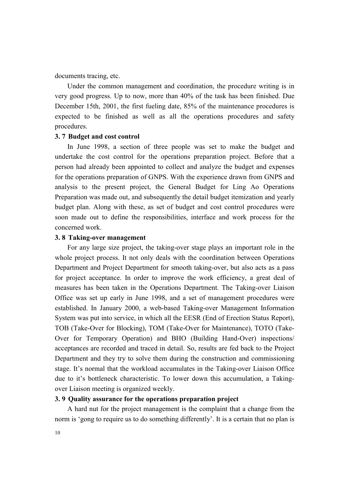documents tracing, etc.

Under the common management and coordination, the procedure writing is in very good progress. Up to now, more than 40% of the task has been finished. Due December 15th, 2001, the first fueling date, 85% of the maintenance procedures is expected to be finished as well as all the operations procedures and safety procedures.

#### **3. 7 Budget and cost control**

In June 1998, a section of three people was set to make the budget and undertake the cost control for the operations preparation project. Before that a person had already been appointed to collect and analyze the budget and expenses for the operations preparation of GNPS. With the experience drawn from GNPS and analysis to the present project, the General Budget for Ling Ao Operations Preparation was made out, and subsequently the detail budget itemization and yearly budget plan. Along with these, as set of budget and cost control procedures were soon made out to define the responsibilities, interface and work process for the concerned work.

#### **3. 8 Taking-over management**

For any large size project, the taking-over stage plays an important role in the whole project process. It not only deals with the coordination between Operations Department and Project Department for smooth taking-over, but also acts as a pass for project acceptance. In order to improve the work efficiency, a great deal of measures has been taken in the Operations Department. The Taking-over Liaison Office was set up early in June 1998, and a set of management procedures were established. In January 2000, a web-based Taking-over Management Information System was put into service, in which all the EESR (End of Erection Status Report), TOB (Take-Over for Blocking), TOM (Take-Over for Maintenance), TOTO (Take-Over for Temporary Operation) and BHO (Building Hand-Over) inspections/ acceptances are recorded and traced in detail. So, results are fed back to the Project Department and they try to solve them during the construction and commissioning stage. It's normal that the workload accumulates in the Taking-over Liaison Office due to it's bottleneck characteristic. To lower down this accumulation, a Takingover Liaison meeting is organized weekly.

#### **3. 9 Quality assurance for the operations preparation project**

A hard nut for the project management is the complaint that a change from the norm is 'gong to require us to do something differently'. It is a certain that no plan is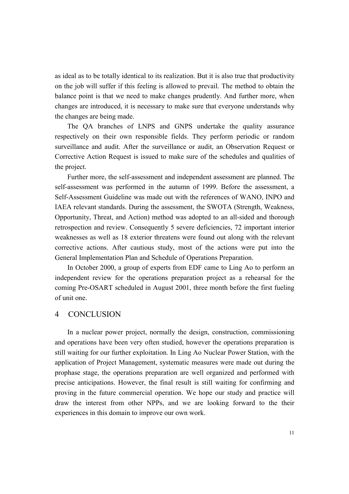as ideal as to be totally identical to its realization. But it is also true that productivity on the job will suffer if this feeling is allowed to prevail. The method to obtain the balance point is that we need to make changes prudently. And further more, when changes are introduced, it is necessary to make sure that everyone understands why the changes are being made.

The QA branches of LNPS and GNPS undertake the quality assurance respectively on their own responsible fields. They perform periodic or random surveillance and audit. After the surveillance or audit, an Observation Request or Corrective Action Request is issued to make sure of the schedules and qualities of the project.

Further more, the self-assessment and independent assessment are planned. The self-assessment was performed in the autumn of 1999. Before the assessment, a Self-Assessment Guideline was made out with the references of WANO, INPO and IAEA relevant standards. During the assessment, the SWOTA (Strength, Weakness, Opportunity, Threat, and Action) method was adopted to an all-sided and thorough retrospection and review. Consequently 5 severe deficiencies, 72 important interior weaknesses as well as 18 exterior threatens were found out along with the relevant corrective actions. After cautious study, most of the actions were put into the General Implementation Plan and Schedule of Operations Preparation.

In October 2000, a group of experts from EDF came to Ling Ao to perform an independent review for the operations preparation project as a rehearsal for the coming Pre-OSART scheduled in August 2001, three month before the first fueling of unit one.

#### 4 CONCLUSION

In a nuclear power project, normally the design, construction, commissioning and operations have been very often studied, however the operations preparation is still waiting for our further exploitation. In Ling Ao Nuclear Power Station, with the application of Project Management, systematic measures were made out during the prophase stage, the operations preparation are well organized and performed with precise anticipations. However, the final result is still waiting for confirming and proving in the future commercial operation. We hope our study and practice will draw the interest from other NPPs, and we are looking forward to the their experiences in this domain to improve our own work.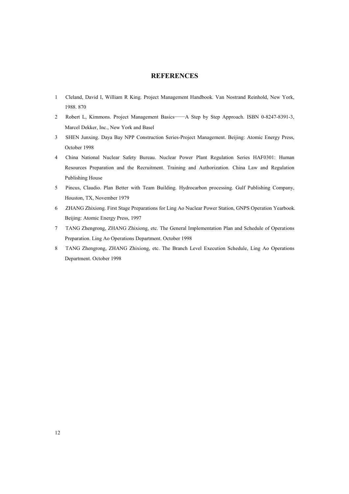#### **REFERENCES**

- 1 Cleland, David I, William R King. Project Management Handbook. Van Nostrand Reinhold, New York, 1988. 870
- 2 Robert L, Kimmons. Project Management Basics——A Step by Step Approach. ISBN 0-8247-8391-3, Marcel Dekker, Inc., New York and Basel
- 3 SHEN Junxing. Daya Bay NPP Construction Series-Project Management. Beijing: Atomic Energy Press, October 1998
- 4 China National Nuclear Safety Bureau. Nuclear Power Plant Regulation Series HAF0301: Human Resources Preparation and the Recruitment. Training and Authorization. China Law and Regulation Publishing House
- 5 Pincus, Claudio. Plan Better with Team Building. Hydrocarbon processing. Gulf Publishing Company, Houston, TX, November 1979
- 6 ZHANG Zhixiong. First Stage Preparations for Ling Ao Nuclear Power Station, GNPS Operation Yearbook. Beijing: Atomic Energy Press, 1997
- 7 TANG Zhengrong, ZHANG Zhixiong, etc. The General Implementation Plan and Schedule of Operations Preparation. Ling Ao Operations Department. October 1998
- 8 TANG Zhengrong, ZHANG Zhixiong, etc. The Branch Level Execution Schedule, Ling Ao Operations Department. October 1998